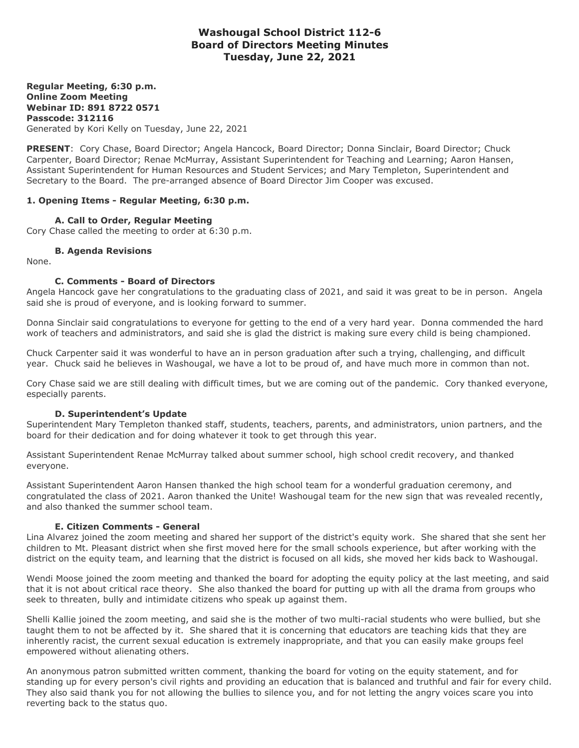# **Washougal School District 112-6 Board of Directors Meeting Minutes Tuesday, June 22, 2021**

**Regular Meeting, 6:30 p.m. Online Zoom Meeting Webinar ID: 891 8722 0571 Passcode: 312116** Generated by Kori Kelly on Tuesday, June 22, 2021

**PRESENT**: Cory Chase, Board Director; Angela Hancock, Board Director; Donna Sinclair, Board Director; Chuck Carpenter, Board Director; Renae McMurray, Assistant Superintendent for Teaching and Learning; Aaron Hansen, Assistant Superintendent for Human Resources and Student Services; and Mary Templeton, Superintendent and Secretary to the Board. The pre-arranged absence of Board Director Jim Cooper was excused.

# **1. Opening Items - Regular Meeting, 6:30 p.m.**

#### **A. Call to Order, Regular Meeting**

Cory Chase called the meeting to order at 6:30 p.m.

#### **B. Agenda Revisions**

None.

#### **C. Comments - Board of Directors**

Angela Hancock gave her congratulations to the graduating class of 2021, and said it was great to be in person. Angela said she is proud of everyone, and is looking forward to summer.

Donna Sinclair said congratulations to everyone for getting to the end of a very hard year. Donna commended the hard work of teachers and administrators, and said she is glad the district is making sure every child is being championed.

Chuck Carpenter said it was wonderful to have an in person graduation after such a trying, challenging, and difficult year. Chuck said he believes in Washougal, we have a lot to be proud of, and have much more in common than not.

Cory Chase said we are still dealing with difficult times, but we are coming out of the pandemic. Cory thanked everyone, especially parents.

#### **D. Superintendent's Update**

Superintendent Mary Templeton thanked staff, students, teachers, parents, and administrators, union partners, and the board for their dedication and for doing whatever it took to get through this year.

Assistant Superintendent Renae McMurray talked about summer school, high school credit recovery, and thanked everyone.

Assistant Superintendent Aaron Hansen thanked the high school team for a wonderful graduation ceremony, and congratulated the class of 2021. Aaron thanked the Unite! Washougal team for the new sign that was revealed recently, and also thanked the summer school team.

# **E. Citizen Comments - General**

Lina Alvarez joined the zoom meeting and shared her support of the district's equity work. She shared that she sent her children to Mt. Pleasant district when she first moved here for the small schools experience, but after working with the district on the equity team, and learning that the district is focused on all kids, she moved her kids back to Washougal.

Wendi Moose joined the zoom meeting and thanked the board for adopting the equity policy at the last meeting, and said that it is not about critical race theory. She also thanked the board for putting up with all the drama from groups who seek to threaten, bully and intimidate citizens who speak up against them.

Shelli Kallie joined the zoom meeting, and said she is the mother of two multi-racial students who were bullied, but she taught them to not be affected by it. She shared that it is concerning that educators are teaching kids that they are inherently racist, the current sexual education is extremely inappropriate, and that you can easily make groups feel empowered without alienating others.

An anonymous patron submitted written comment, thanking the board for voting on the equity statement, and for standing up for every person's civil rights and providing an education that is balanced and truthful and fair for every child. They also said thank you for not allowing the bullies to silence you, and for not letting the angry voices scare you into reverting back to the status quo.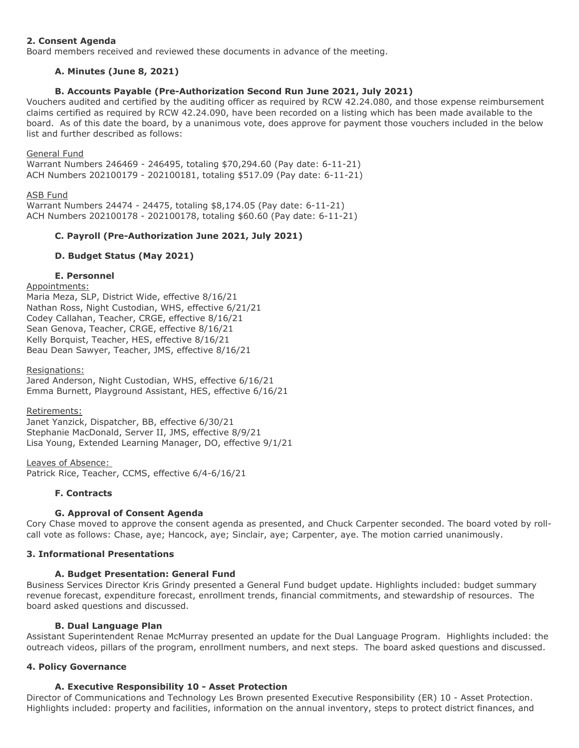# **2. Consent Agenda**

Board members received and reviewed these documents in advance of the meeting.

# **A. Minutes (June 8, 2021)**

# **B. Accounts Payable (Pre-Authorization Second Run June 2021, July 2021)**

Vouchers audited and certified by the auditing officer as required by RCW 42.24.080, and those expense reimbursement claims certified as required by RCW 42.24.090, have been recorded on a listing which has been made available to the board. As of this date the board, by a unanimous vote, does approve for payment those vouchers included in the below list and further described as follows:

# General Fund

Warrant Numbers 246469 - 246495, totaling \$70,294.60 (Pay date: 6-11-21) ACH Numbers 202100179 - 202100181, totaling \$517.09 (Pay date: 6-11-21)

# ASB Fund

Warrant Numbers 24474 - 24475, totaling \$8,174.05 (Pay date: 6-11-21) ACH Numbers 202100178 - 202100178, totaling \$60.60 (Pay date: 6-11-21)

# **C. Payroll (Pre-Authorization June 2021, July 2021)**

# **D. Budget Status (May 2021)**

## **E. Personnel**

#### Appointments:

Maria Meza, SLP, District Wide, effective 8/16/21 Nathan Ross, Night Custodian, WHS, effective 6/21/21 Codey Callahan, Teacher, CRGE, effective 8/16/21 Sean Genova, Teacher, CRGE, effective 8/16/21 Kelly Borquist, Teacher, HES, effective 8/16/21 Beau Dean Sawyer, Teacher, JMS, effective 8/16/21

#### Resignations:

Jared Anderson, Night Custodian, WHS, effective 6/16/21 Emma Burnett, Playground Assistant, HES, effective 6/16/21

#### Retirements:

Janet Yanzick, Dispatcher, BB, effective 6/30/21 Stephanie MacDonald, Server II, JMS, effective 8/9/21 Lisa Young, Extended Learning Manager, DO, effective 9/1/21

Leaves of Absence: Patrick Rice, Teacher, CCMS, effective 6/4-6/16/21

# **F. Contracts**

# **G. Approval of Consent Agenda**

Cory Chase moved to approve the consent agenda as presented, and Chuck Carpenter seconded. The board voted by rollcall vote as follows: Chase, aye; Hancock, aye; Sinclair, aye; Carpenter, aye. The motion carried unanimously.

# **3. Informational Presentations**

# **A. Budget Presentation: General Fund**

Business Services Director Kris Grindy presented a General Fund budget update. Highlights included: budget summary revenue forecast, expenditure forecast, enrollment trends, financial commitments, and stewardship of resources. The board asked questions and discussed.

# **B. Dual Language Plan**

Assistant Superintendent Renae McMurray presented an update for the Dual Language Program. Highlights included: the outreach videos, pillars of the program, enrollment numbers, and next steps. The board asked questions and discussed.

# **4. Policy Governance**

# **A. Executive Responsibility 10 - Asset Protection**

Director of Communications and Technology Les Brown presented Executive Responsibility (ER) 10 - Asset Protection. Highlights included: property and facilities, information on the annual inventory, steps to protect district finances, and